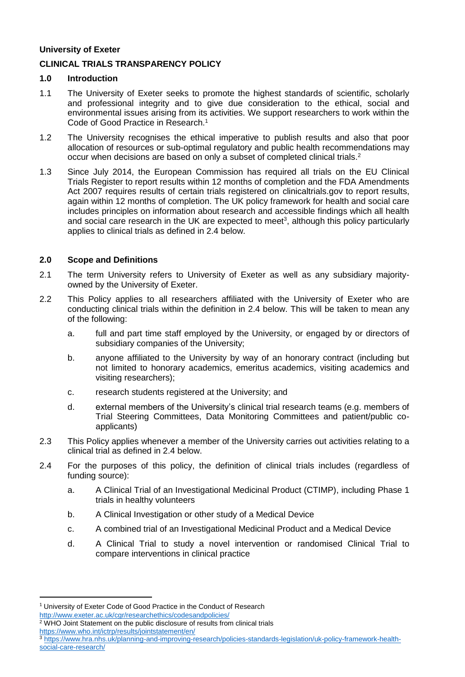#### **University of Exeter**

# **CLINICAL TRIALS TRANSPARENCY POLICY**

# **1.0 Introduction**

- 1.1 The University of Exeter seeks to promote the highest standards of scientific, scholarly and professional integrity and to give due consideration to the ethical, social and environmental issues arising from its activities. We support researchers to work within the Code of Good Practice in Research.<sup>1</sup>
- 1.2 The University recognises the ethical imperative to publish results and also that poor allocation of resources or sub-optimal regulatory and public health recommendations may occur when decisions are based on only a subset of completed clinical trials.<sup>2</sup>
- 1.3 Since July 2014, the European Commission has required all trials on the EU Clinical Trials Register to report results within 12 months of completion and the FDA Amendments Act 2007 requires results of certain trials registered on clinicaltrials.gov to report results, again within 12 months of completion. The UK policy framework for health and social care includes principles on information about research and accessible findings which all health and social care research in the UK are expected to meet<sup>3</sup>, although this policy particularly applies to clinical trials as defined in 2.4 below.

# **2.0 Scope and Definitions**

- 2.1 The term University refers to University of Exeter as well as any subsidiary majorityowned by the University of Exeter.
- 2.2 This Policy applies to all researchers affiliated with the University of Exeter who are conducting clinical trials within the definition in 2.4 below. This will be taken to mean any of the following:
	- a. full and part time staff employed by the University, or engaged by or directors of subsidiary companies of the University;
	- b. anyone affiliated to the University by way of an honorary contract (including but not limited to honorary academics, emeritus academics, visiting academics and visiting researchers);
	- c. research students registered at the University; and
	- d. external members of the University's clinical trial research teams (e.g. members of Trial Steering Committees, Data Monitoring Committees and patient/public coapplicants)
- 2.3 This Policy applies whenever a member of the University carries out activities relating to a clinical trial as defined in 2.4 below.
- 2.4 For the purposes of this policy, the definition of clinical trials includes (regardless of funding source):
	- a. A Clinical Trial of an Investigational Medicinal Product (CTIMP), including Phase 1 trials in healthy volunteers
	- b. A Clinical Investigation or other study of a Medical Device
	- c. A combined trial of an Investigational Medicinal Product and a Medical Device
	- d. A Clinical Trial to study a novel intervention or randomised Clinical Trial to compare interventions in clinical practice

1

<sup>&</sup>lt;sup>1</sup> University of Exeter Code of Good Practice in the Conduct of Research <http://www.exeter.ac.uk/cgr/researchethics/codesandpolicies/>

<sup>&</sup>lt;sup>2</sup> WHO Joint Statement on the public disclosure of results from clinical trials <https://www.who.int/ictrp/results/jointstatement/en/>

<sup>3</sup> [https://www.hra.nhs.uk/planning-and-improving-research/policies-standards-legislation/uk-policy-framework-health](https://www.hra.nhs.uk/planning-and-improving-research/policies-standards-legislation/uk-policy-framework-health-social-care-research/)[social-care-research/](https://www.hra.nhs.uk/planning-and-improving-research/policies-standards-legislation/uk-policy-framework-health-social-care-research/)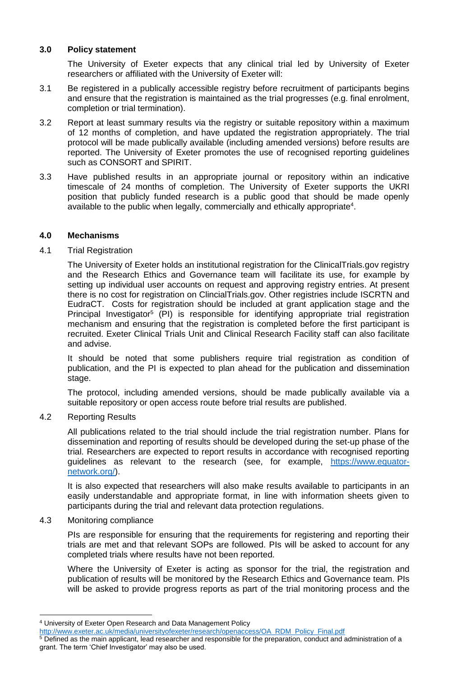#### **3.0 Policy statement**

The University of Exeter expects that any clinical trial led by University of Exeter researchers or affiliated with the University of Exeter will:

- 3.1 Be registered in a publically accessible registry before recruitment of participants begins and ensure that the registration is maintained as the trial progresses (e.g. final enrolment, completion or trial termination).
- 3.2 Report at least summary results via the registry or suitable repository within a maximum of 12 months of completion, and have updated the registration appropriately. The trial protocol will be made publically available (including amended versions) before results are reported. The University of Exeter promotes the use of recognised reporting guidelines such as CONSORT and SPIRIT.
- 3.3 Have published results in an appropriate journal or repository within an indicative timescale of 24 months of completion. The University of Exeter supports the UKRI position that publicly funded research is a public good that should be made openly available to the public when legally, commercially and ethically appropriate<sup>4</sup>.

# **4.0 Mechanisms**

# 4.1 Trial Registration

The University of Exeter holds an institutional registration for the ClinicalTrials.gov registry and the Research Ethics and Governance team will facilitate its use, for example by setting up individual user accounts on request and approving registry entries. At present there is no cost for registration on ClincialTrials.gov. Other registries include ISCRTN and EudraCT. Costs for registration should be included at grant application stage and the Principal Investigator<sup>5</sup> (PI) is responsible for identifying appropriate trial registration mechanism and ensuring that the registration is completed before the first participant is recruited. Exeter Clinical Trials Unit and Clinical Research Facility staff can also facilitate and advise.

It should be noted that some publishers require trial registration as condition of publication, and the PI is expected to plan ahead for the publication and dissemination stage.

The protocol, including amended versions, should be made publically available via a suitable repository or open access route before trial results are published.

#### 4.2 Reporting Results

All publications related to the trial should include the trial registration number. Plans for dissemination and reporting of results should be developed during the set-up phase of the trial. Researchers are expected to report results in accordance with recognised reporting guidelines as relevant to the research (see, for example, [https://www.equator](https://www.equator-network.org/)[network.org/\)](https://www.equator-network.org/).

It is also expected that researchers will also make results available to participants in an easily understandable and appropriate format, in line with information sheets given to participants during the trial and relevant data protection regulations.

#### 4.3 Monitoring compliance

1

PIs are responsible for ensuring that the requirements for registering and reporting their trials are met and that relevant SOPs are followed. PIs will be asked to account for any completed trials where results have not been reported.

Where the University of Exeter is acting as sponsor for the trial, the registration and publication of results will be monitored by the Research Ethics and Governance team. PIs will be asked to provide progress reports as part of the trial monitoring process and the

<sup>4</sup> University of Exeter Open Research and Data Management Policy

[http://www.exeter.ac.uk/media/universityofexeter/research/openaccess/OA\\_RDM\\_Policy\\_Final.pdf](http://www.exeter.ac.uk/media/universityofexeter/research/openaccess/OA_RDM_Policy_Final.pdf)

<sup>5</sup> Defined as the main applicant, lead researcher and responsible for the preparation, conduct and administration of a grant. The term 'Chief Investigator' may also be used.